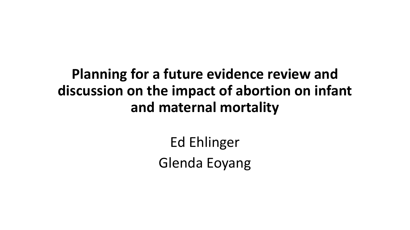## **Planning for a future evidence review and discussion on the impact of abortion on infant and maternal mortality**

Ed Ehlinger Glenda Eoyang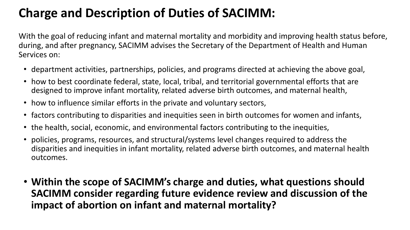### **Charge and Description of Duties of SACIMM:**

With the goal of reducing infant and maternal mortality and morbidity and improving health status before, during, and after pregnancy, SACIMM advises the Secretary of the Department of Health and Human Services on:

- department activities, partnerships, policies, and programs directed at achieving the above goal,
- how to best coordinate federal, state, local, tribal, and territorial governmental efforts that are designed to improve infant mortality, related adverse birth outcomes, and maternal health,
- how to influence similar efforts in the private and voluntary sectors,
- factors contributing to disparities and inequities seen in birth outcomes for women and infants,
- the health, social, economic, and environmental factors contributing to the inequities,
- policies, programs, resources, and structural/systems level changes required to address the disparities and inequities in infant mortality, related adverse birth outcomes, and maternal health outcomes.
- **Within the scope of SACIMM's charge and duties, what questions should SACIMM consider regarding future evidence review and discussion of the impact of abortion on infant and maternal mortality?**